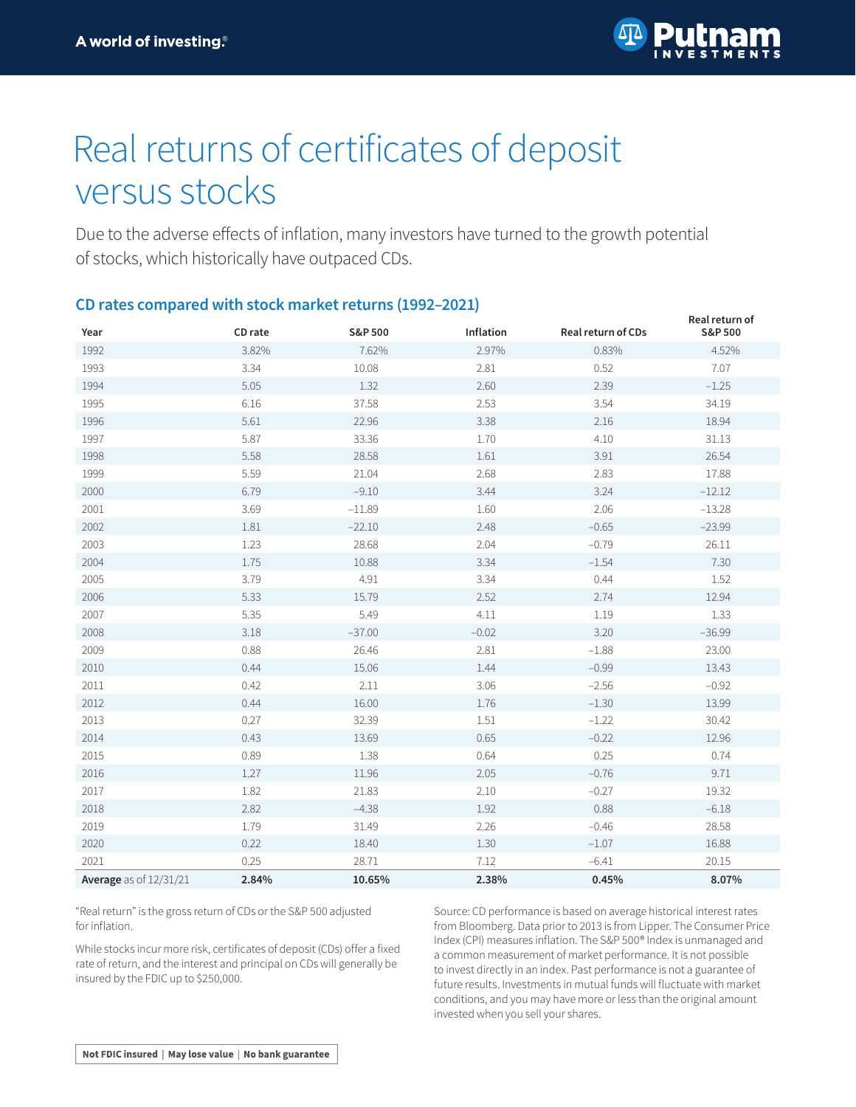

## Real returns of certificates of deposit versus stocks

Due to the adverse effects of inflation, many investors have turned to the growth potential of stocks, which historically have outpaced CDs.

## **CD rates compared with stock market returns (1992–2021)**

| Year                   | CD rate | S&P 500  | Inflation | Real return of CDs | Real return of<br>S&P 500 |
|------------------------|---------|----------|-----------|--------------------|---------------------------|
| 1992                   | 3.82%   | 7.62%    | 2.97%     | 0.83%              | 4.52%                     |
| 1993                   | 3.34    | 10.08    | 2.81      | 0.52               | 7.07                      |
| 1994                   | 5.05    | 1.32     | 2.60      | 2.39               | $-1.25$                   |
| 1995                   | 6.16    | 37.58    | 2.53      | 3.54               | 34.19                     |
| 1996                   | 5.61    | 22.96    | 3.38      | 2.16               | 18.94                     |
| 1997                   | 5.87    | 33.36    | 1.70      | 4.10               | 31.13                     |
| 1998                   | 5.58    | 28.58    | 1.61      | 3.91               | 26.54                     |
| 1999                   | 5.59    | 21.04    | 2.68      | 2.83               | 17.88                     |
| 2000                   | 6.79    | $-9.10$  | 3.44      | 3.24               | $-12.12$                  |
| 2001                   | 3.69    | $-11.89$ | 1.60      | 2.06               | $-13.28$                  |
| 2002                   | 1.81    | $-22.10$ | 2.48      | $-0.65$            | $-23.99$                  |
| 2003                   | 1.23    | 28.68    | 2.04      | $-0.79$            | 26.11                     |
| 2004                   | 1.75    | 10.88    | 3.34      | $-1.54$            | 7.30                      |
| 2005                   | 3.79    | 4.91     | 3.34      | 0.44               | 1.52                      |
| 2006                   | 5.33    | 15.79    | 2.52      | 2.74               | 12.94                     |
| 2007                   | 5.35    | 5.49     | 4.11      | 1.19               | 1.33                      |
| 2008                   | 3.18    | $-37.00$ | $-0.02$   | 3.20               | $-36.99$                  |
| 2009                   | 0.88    | 26.46    | 2.81      | $-1.88$            | 23.00                     |
| 2010                   | 0.44    | 15.06    | 1.44      | $-0.99$            | 13.43                     |
| 2011                   | 0.42    | 2.11     | 3.06      | $-2.56$            | $-0.92$                   |
| 2012                   | 0.44    | 16.00    | 1.76      | $-1.30$            | 13.99                     |
| 2013                   | 0.27    | 32.39    | 1.51      | $-1.22$            | 30.42                     |
| 2014                   | 0.43    | 13.69    | 0.65      | $-0.22$            | 12.96                     |
| 2015                   | 0.89    | 1.38     | 0.64      | 0.25               | 0.74                      |
| 2016                   | 1.27    | 11.96    | 2.05      | $-0.76$            | 9.71                      |
| 2017                   | 1.82    | 21.83    | 2.10      | $-0.27$            | 19.32                     |
| 2018                   | 2.82    | $-4.38$  | 1.92      | 0.88               | $-6.18$                   |
| 2019                   | 1.79    | 31.49    | 2.26      | $-0.46$            | 28.58                     |
| 2020                   | 0.22    | 18.40    | 1.30      | $-1.07$            | 16.88                     |
| 2021                   | 0.25    | 28.71    | 7.12      | $-6.41$            | 20.15                     |
| Average as of 12/31/21 | 2.84%   | 10.65%   | 2.38%     | 0.45%              | 8.07%                     |

"Real return" is the gross return of CDs or the S&P 500 adjusted for inflation.

While stocks incur more risk, certificates of deposit (CDs) offer a fixed rate of return, and the interest and principal on CDs will generally be insured by the FDIC up to \$250,000.

Source: CD performance is based on average historical interest rates from Bloomberg. Data prior to 2013 is from Lipper. The Consumer Price Index (CPI) measures inflation. The S&P 500® Index is unmanaged and a common measurement of market performance. It is not possible to invest directly in an index. Past performance is not a guarantee of future results. Investments in mutual funds will fluctuate with market conditions, and you may have more or less than the original amount invested when you sell your shares.